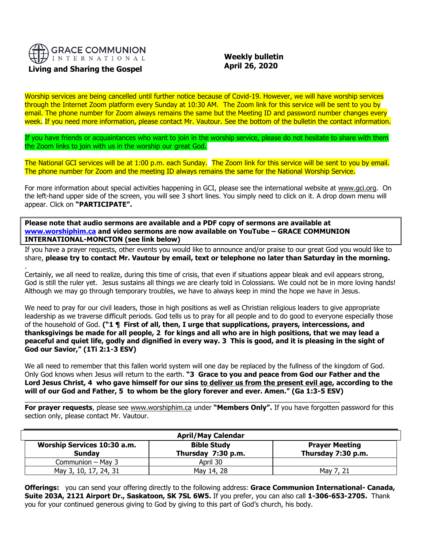

## **Living and Sharing the Gospel**

.

 **Weekly bulletin April 26, 2020**

Worship services are being cancelled until further notice because of Covid-19. However, we will have worship services through the Internet Zoom platform every Sunday at 10:30 AM. The Zoom link for this service will be sent to you by email. The phone number for Zoom always remains the same but the Meeting ID and password number changes every week. If you need more information, please contact Mr. Vautour. See the bottom of the bulletin the contact information.

If you have friends or acquaintances who want to join in the worship service, please do not hesitate to share with them the Zoom links to join with us in the worship our great God.

The National GCI services will be at 1:00 p.m. each Sunday. The Zoom link for this service will be sent to you by email. The phone number for Zoom and the meeting ID always remains the same for the National Worship Service.

For more information about special activities happening in GCI, please see the international website at [www.gci.org.](http://www.gci.org/) On the left-hand upper side of the screen, you will see 3 short lines. You simply need to click on it. A drop down menu will appear. Click on **"PARTICIPATE".** 

**Please note that audio sermons are available and a PDF copy of sermons are available at [www.worshiphim.ca](http://www.worshiphim.ca/) and video sermons are now available on YouTube – GRACE COMMUNION INTERNATIONAL-MONCTON (see link below)**

If you have a prayer requests, other events you would like to announce and/or praise to our great God you would like to share, **please try to contact Mr. Vautour by email, text or telephone no later than Saturday in the morning.**

Certainly, we all need to realize, during this time of crisis, that even if situations appear bleak and evil appears strong, God is still the ruler yet. Jesus sustains all things we are clearly told in Colossians. We could not be in more loving hands! Although we may go through temporary troubles, we have to always keep in mind the hope we have in Jesus.

We need to pray for our civil leaders, those in high positions as well as Christian religious leaders to give appropriate leadership as we traverse difficult periods. God tells us to pray for all people and to do good to everyone especially those of the household of God. **("1 ¶ First of all, then, I urge that supplications, prayers, intercessions, and thanksgivings be made for all people, 2 for kings and all who are in high positions, that we may lead a peaceful and quiet life, godly and dignified in every way. 3 This is good, and it is pleasing in the sight of God our Savior," (1Ti 2:1-3 ESV)**

We all need to remember that this fallen world system will one day be replaced by the fullness of the kingdom of God. Only God knows when Jesus will return to the earth. **"3 Grace to you and peace from God our Father and the Lord Jesus Christ, 4 who gave himself for our sins to deliver us from the present evil age, according to the will of our God and Father, 5 to whom be the glory forever and ever. Amen." (Ga 1:3-5 ESV)**

**For prayer requests**, please see [www.worshiphim.ca](http://www.worshiphim.ca/) under **"Members Only".** If you have forgotten password for this section only, please contact Mr. Vautour.

 $\_$  , and the set of the set of the set of the set of the set of the set of the set of the set of the set of the set of the set of the set of the set of the set of the set of the set of the set of the set of the set of th

| <b>April/May Calendar</b>                           |                                          |                                             |
|-----------------------------------------------------|------------------------------------------|---------------------------------------------|
| <b>Worship Services 10:30 a.m.</b><br><b>Sunday</b> | <b>Bible Study</b><br>Thursday 7:30 p.m. | <b>Prayer Meeting</b><br>Thursday 7:30 p.m. |
| Communion - May 3                                   | April 30                                 |                                             |
| May 3, 10, 17, 24, 31                               | May 14, 28                               | May 7, 21                                   |

**Offerings:** you can send your offering directly to the following address: **Grace Communion International- Canada, Suite 203A, 2121 Airport Dr., Saskatoon, SK 7SL 6W5.** If you prefer, you can also call **1-306-653-2705.** Thank you for your continued generous giving to God by giving to this part of God's church, his body.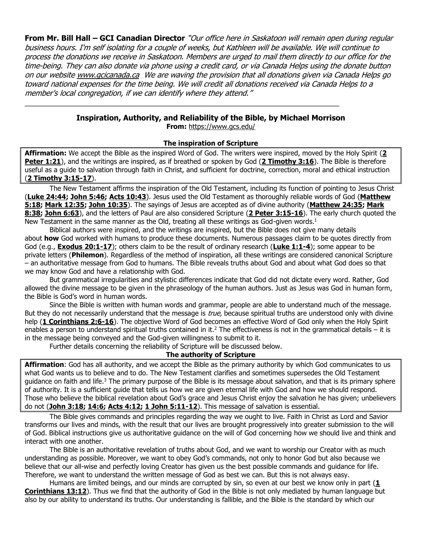**From Mr. Bill Hall – GCI Canadian Director** "Our office here in Saskatoon will remain open during regular business hours. I'm self isolating for a couple of weeks, but Kathleen will be available. We will continue to process the donations we receive in Saskatoon. Members are urged to mail them directly to our office for the time-being. They can also donate via phone using a credit card, or via Canada Helps using the donate button on our websit[e www.gcicanada.ca](https://eur03.safelinks.protection.outlook.com/?url=http%3A%2F%2Fwww.gcicanada.ca%2F&data=02%7C01%7C%7C9fd93e29c2b44509e5a008d7caa78fdb%7C84df9e7fe9f640afb435aaaaaaaaaaaa%7C1%7C0%7C637200693331983394&sdata=VAGy4Q%2BxbhHuYaeEiDz%2FQyicT%2FoiY4Ir9kc8w5yHRPs%3D&reserved=0) We are waving the provision that all donations given via Canada Helps go toward national expenses for the time being. We will credit all donations received via Canada Helps to a member's local congregation, if we can identify where they attend."

# **Inspiration, Authority, and Reliability of the Bible, by Michael Morrison**

\_\_\_\_\_\_\_\_\_\_\_\_\_\_\_\_\_\_\_\_\_\_\_\_\_\_\_\_\_\_\_\_\_\_\_\_\_\_\_\_\_\_\_\_\_\_\_\_\_\_\_\_\_\_\_\_\_\_\_\_\_\_\_\_\_\_\_\_\_\_\_\_\_\_\_\_

**From:** <https://www.gcs.edu/>

### **The inspiration of Scripture**

**Affirmation:** We accept the Bible as the inspired Word of God. The writers were inspired, moved by the Holy Spirit (**[2](http://biblia.com/bible/niv/2%20Pet%201.21)  [Peter 1:21](http://biblia.com/bible/niv/2%20Pet%201.21)**), and the writings are inspired, as if breathed or spoken by God (**[2 Timothy 3:16](http://biblia.com/bible/niv/2%20Tim%203.16)**). The Bible is therefore useful as a guide to salvation through faith in Christ, and sufficient for doctrine, correction, moral and ethical instruction (**[2 Timothy 3:15-17](http://biblia.com/bible/niv/2%20Tim%203.15-17)**).

The New Testament affirms the inspiration of the Old Testament, including its function of pointing to Jesus Christ (**[Luke 24:44;](http://biblia.com/bible/niv/Luke%2024.44) [John 5:46;](http://biblia.com/bible/niv/John%205.46) [Acts 10:43](http://biblia.com/bible/niv/Acts%2010.43)**). Jesus used the Old Testament as thoroughly reliable words of God (**[Matthew](http://biblia.com/bible/niv/Matt%205.18)  [5:18;](http://biblia.com/bible/niv/Matt%205.18) [Mark 12:35;](http://biblia.com/bible/niv/Mark%2012.35) [John 10:35](http://biblia.com/bible/niv/John%2010.35)**). The sayings of Jesus are accepted as of divine authority (**[Matthew 24:35;](http://biblia.com/bible/niv/Matt%2024.35) [Mark](http://biblia.com/bible/niv/Mark%208.38)  [8:38;](http://biblia.com/bible/niv/Mark%208.38) [John 6:63](http://biblia.com/bible/niv/John%206.63)**), and the letters of Paul are also considered Scripture (**[2 Peter 3:15-16](http://biblia.com/bible/niv/2%20Pet%203.15-16)**). The early church quoted the New Testament in the same manner as the Old, treating all these writings as God-given words.<sup>1</sup>

Biblical authors were inspired, and the writings are inspired, but the Bible does not give many details about **how** God worked with humans to produce these documents. Numerous passages claim to be quotes directly from God (e.g., **[Exodus 20:1-17](http://biblia.com/bible/niv/Exod%2020.1-17)**); others claim to be the result of ordinary research (**[Luke 1:1-4](http://biblia.com/bible/niv/Luke%201.1-4)**); some appear to be private letters (**Philemon**). Regardless of the method of inspiration, all these writings are considered canonical Scripture – an authoritative message from God to humans. The Bible reveals truths about God and about what God does so that we may know God and have a relationship with God.

But grammatical irregularities and stylistic differences indicate that God did not dictate every word. Rather, God allowed the divine message to be given in the phraseology of the human authors. Just as Jesus was God in human form, the Bible is God's word in human words.

Since the Bible is written with human words and grammar, people are able to understand much of the message. But they do not necessarily understand that the message is *true*, because spiritual truths are understood only with divine help (**[1 Corinthians 2:6-16](http://biblia.com/bible/niv/1%20Cor%202.6-16)**). The objective Word of God becomes an effective Word of God only when the Holy Spirit enables a person to understand spiritual truths contained in it.<sup>2</sup> The effectiveness is not in the grammatical details  $-$  it is in the message being conveyed and the God-given willingness to submit to it.

Further details concerning the reliability of Scripture will be discussed below.

## **The authority of Scripture**

**Affirmation**: God has all authority, and we accept the Bible as the primary authority by which God communicates to us what God wants us to believe and to do. The New Testament clarifies and sometimes supersedes the Old Testament guidance on faith and life.<sup>3</sup> The primary purpose of the Bible is its message about salvation, and that is its primary sphere of authority. It is a sufficient guide that tells us how we are given eternal life with God and how we should respond. Those who believe the biblical revelation about God's grace and Jesus Christ enjoy the salvation he has given; unbelievers do not (**[John 3:18;](http://biblia.com/bible/niv/John%203.18) [14:6;](http://biblia.com/bible/niv/John%2014.6) [Acts 4:12;](http://biblia.com/bible/niv/Acts%204.12) [1 John 5:11-12](http://biblia.com/bible/niv/1%20John%205.11-12)**). This message of salvation is essential.

The Bible gives commands and principles regarding the way we ought to live. Faith in Christ as Lord and Savior transforms our lives and minds, with the result that our lives are brought progressively into greater submission to the will of God. Biblical instructions give us authoritative guidance on the will of God concerning how we should live and think and interact with one another.

The Bible is an authoritative revelation of truths about God, and we want to worship our Creator with as much understanding as possible. Moreover, we want to obey God's commands, not only to honor God but also because we believe that our all-wise and perfectly loving Creator has given us the best possible commands and guidance for life. Therefore, we want to understand the written message of God as best we can. But this is not always easy.

Humans are limited beings, and our minds are corrupted by sin, so even at our best we know only in part (**[1](http://biblia.com/bible/niv/1%20Cor%2013.12)  [Corinthians 13:12](http://biblia.com/bible/niv/1%20Cor%2013.12)**). Thus we find that the authority of God in the Bible is not only mediated by human language but also by our ability to understand its truths. Our understanding is fallible, and the Bible is the standard by which our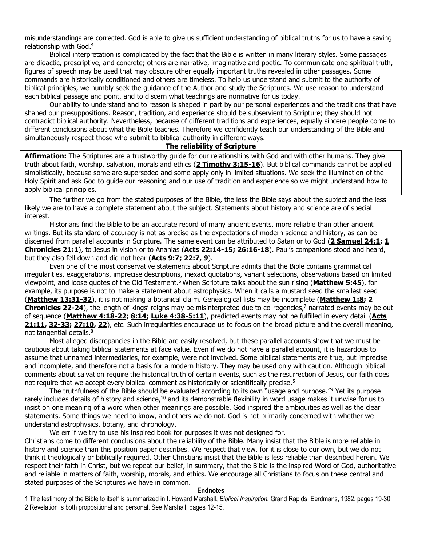misunderstandings are corrected. God is able to give us sufficient understanding of biblical truths for us to have a saving relationship with God. 4

Biblical interpretation is complicated by the fact that the Bible is written in many literary styles. Some passages are didactic, prescriptive, and concrete; others are narrative, imaginative and poetic. To communicate one spiritual truth, figures of speech may be used that may obscure other equally important truths revealed in other passages. Some commands are historically conditioned and others are timeless. To help us understand and submit to the authority of biblical principles, we humbly seek the guidance of the Author and study the Scriptures. We use reason to understand each biblical passage and point, and to discern what teachings are normative for us today.

Our ability to understand and to reason is shaped in part by our personal experiences and the traditions that have shaped our presuppositions. Reason, tradition, and experience should be subservient to Scripture; they should not contradict biblical authority. Nevertheless, because of different traditions and experiences, equally sincere people come to different conclusions about what the Bible teaches. Therefore we confidently teach our understanding of the Bible and simultaneously respect those who submit to biblical authority in different ways.

#### **The reliability of Scripture**

**Affirmation:** The Scriptures are a trustworthy guide for our relationships with God and with other humans. They give truth about faith, worship, salvation, morals and ethics (**[2 Timothy 3:15-16](http://biblia.com/bible/niv/2%20Tim%203.15-16)**). But biblical commands cannot be applied simplistically, because some are superseded and some apply only in limited situations. We seek the illumination of the Holy Spirit and ask God to guide our reasoning and our use of tradition and experience so we might understand how to apply biblical principles.

The further we go from the stated purposes of the Bible, the less the Bible says about the subject and the less likely we are to have a complete statement about the subject. Statements about history and science are of special interest.

Historians find the Bible to be an accurate record of many ancient events, more reliable than other ancient writings. But its standard of accuracy is not as precise as the expectations of modern science and history, as can be discerned from parallel accounts in Scripture. The same event can be attributed to Satan or to God (**[2 Samuel 24:1;](http://biblia.com/bible/niv/2%20Sam%2024.1) [1](http://biblia.com/bible/niv/1%20Chron%2021.1)  [Chronicles 21:1](http://biblia.com/bible/niv/1%20Chron%2021.1)**), to Jesus in vision or to Ananias (**[Acts 22:14-15;](http://biblia.com/bible/niv/Acts%2022.14-15) [26:16-18](http://biblia.com/bible/niv/Acts%2026.16-18)**). Paul's companions stood and heard, but they also fell down and did not hear (**[Acts 9:7;](http://biblia.com/bible/niv/Acts%209.7) [22:7,](http://biblia.com/bible/niv/Acts%2022.7) [9](http://biblia.com/bible/niv/Acts%2022.9)**).

Even one of the most conservative statements about Scripture admits that the Bible contains grammatical irregularities, exaggerations, imprecise descriptions, inexact quotations, variant selections, observations based on limited viewpoint, and loose quotes of the Old Testament. <sup>6</sup> When Scripture talks about the sun rising (**[Matthew 5:45](http://biblia.com/bible/niv/Matt%205.45)**), for example, its purpose is not to make a statement about astrophysics. When it calls a mustard seed the smallest seed (**[Matthew 13:31-32](http://biblia.com/bible/niv/Matt%2013.31-32)**), it is not making a botanical claim. Genealogical lists may be incomplete (**[Matthew 1:8;](http://biblia.com/bible/niv/Matt%201.8) 2 Chronicles 22-24**), the length of kings' reigns may be misinterpreted due to co-regencies, <sup>7</sup> narrated events may be out of sequence (**[Matthew 4:18-22;](http://biblia.com/bible/niv/Matt%204.18-22) [8:14;](http://biblia.com/bible/niv/Matt%208.14) [Luke 4:38-5:11](http://biblia.com/bible/niv/Luke%204.38-5.11)**), predicted events may not be fulfilled in every detail (**[Acts](http://biblia.com/bible/niv/Acts%2021.11)  [21:11,](http://biblia.com/bible/niv/Acts%2021.11) [32-33;](http://biblia.com/bible/niv/Acts%2021.32-33) [27:10,](http://biblia.com/bible/niv/Acts%2027.10) [22](http://biblia.com/bible/niv/Acts%2027.22)**), etc. Such irregularities encourage us to focus on the broad picture and the overall meaning, not tangential details.<sup>8</sup>

Most alleged discrepancies in the Bible are easily resolved, but these parallel accounts show that we must be cautious about taking biblical statements at face value. Even if we do not have a parallel account, it is hazardous to assume that unnamed intermediaries, for example, were not involved. Some biblical statements are true, but imprecise and incomplete, and therefore not a basis for a modern history. They may be used only with caution. Although biblical comments about salvation require the historical truth of certain events, such as the resurrection of Jesus, our faith does not require that we accept every biblical comment as historically or scientifically precise.<sup>5</sup>

The truthfulness of the Bible should be evaluated according to its own "usage and purpose." <sup>9</sup> Yet its purpose rarely includes details of history and science,<sup>10</sup> and its demonstrable flexibility in word usage makes it unwise for us to insist on one meaning of a word when other meanings are possible. God inspired the ambiguities as well as the clear statements. Some things we need to know, and others we do not. God is not primarily concerned with whether we understand astrophysics, botany, and chronology.

We err if we try to use his inspired book for purposes it was not designed for.

Christians come to different conclusions about the reliability of the Bible. Many insist that the Bible is more reliable in history and science than this position paper describes. We respect that view, for it is close to our own, but we do not think it theologically or biblically required. Other Christians insist that the Bible is less reliable than described herein. We respect their faith in Christ, but we repeat our belief, in summary, that the Bible is the inspired Word of God, authoritative and reliable in matters of faith, worship, morals, and ethics. We encourage all Christians to focus on these central and stated purposes of the Scriptures we have in common.

#### **Endnotes**

1 The testimony of the Bible to itself is summarized in I. Howard Marshall, *Biblical Inspiration,* Grand Rapids: Eerdmans, 1982, pages 19-30. 2 Revelation is both propositional and personal. See Marshall, pages 12-15.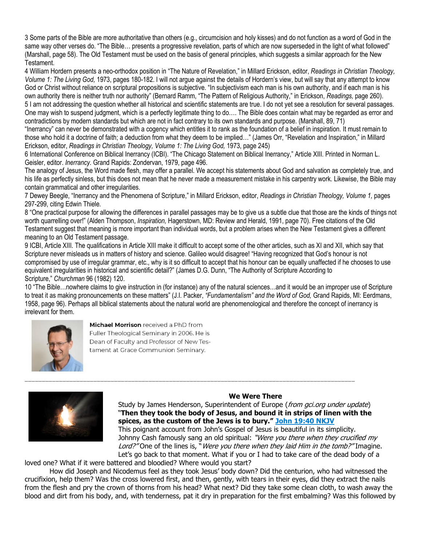3 Some parts of the Bible are more authoritative than others (e.g., circumcision and holy kisses) and do not function as a word of God in the same way other verses do. "The Bible… presents a progressive revelation, parts of which are now superseded in the light of what followed" (Marshall, page 58). The Old Testament must be used on the basis of general principles, which suggests a similar approach for the New Testament.

4 William Hordern presents a neo-orthodox position in "The Nature of Revelation," in Millard Erickson, editor, *Readings in Christian Theology, Volume 1: The Living God,* 1973, pages 180-182. I will not argue against the details of Hordern's view, but will say that any attempt to know God or Christ without reliance on scriptural propositions is subjective. "In subjectivism each man is his own authority, and if each man is his own authority there is neither truth nor authority" (Bernard Ramm, "The Pattern of Religious Authority," in Erickson, *Readings,* page 260).

5 I am not addressing the question whether all historical and scientific statements are true. I do not yet see a resolution for several passages. One may wish to suspend judgment, which is a perfectly legitimate thing to do…. The Bible does contain what may be regarded as error and contradictions by modern standards but which are not in fact contrary to its own standards and purpose. (Marshall, 89, 71)

"Inerrancy" can never be demonstrated with a cogency which entitles it to rank as the foundation of a belief in inspiration. It must remain to those who hold it a doctrine of faith; a deduction from what they deem to be implied…" (James Orr, "Revelation and Inspiration," in Millard Erickson, editor, *Readings in Christian Theology, Volume 1: The Living God,* 1973, page 245)

6 International Conference on Biblical Inerrancy (ICBI). "The Chicago Statement on Biblical Inerrancy," Article XIII. Printed in Norman L. Geisler, editor. *Inerrancy.* Grand Rapids: Zondervan, 1979, page 496.

The analogy of Jesus, the Word made flesh, may offer a parallel. We accept his statements about God and salvation as completely true, and his life as perfectly sinless, but this does not mean that he never made a measurement mistake in his carpentry work. Likewise, the Bible may contain grammatical and other irregularities.

7 Dewey Beegle, "Inerrancy and the Phenomena of Scripture," in Millard Erickson, editor, *Readings in Christian Theology, Volume 1,* pages 297-299, citing Edwin Thiele.

8 "One practical purpose for allowing the differences in parallel passages may be to give us a subtle clue that those are the kinds of things not worth quarrelling over!" (Alden Thompson, *Inspiration,* Hagerstown, MD: Review and Herald, 1991, page 70). Free citations of the Old Testament suggest that meaning is more important than individual words, but a problem arises when the New Testament gives a different meaning to an Old Testament passage.

9 ICBI, Article XIII. The qualifications in Article XIII make it difficult to accept some of the other articles, such as XI and XII, which say that Scripture never misleads us in matters of history and science. Galileo would disagree! "Having recognized that God's honour is not compromised by use of irregular grammar, etc., why is it so difficult to accept that his honour can be equally unaffected if he chooses to use equivalent irregularities in historical and scientific detail?" (James D.G. Dunn, "The Authority of Scripture According to Scripture," *Churchman* 96 (1982) 120.

10 "The Bible…nowhere claims to give instruction in (for instance) any of the natural sciences…and it would be an improper use of Scripture to treat it as making pronouncements on these matters" (J.I. Packer, *"Fundamentalism" and the Word of God,* Grand Rapids, MI: Eerdmans, 1958, page 96). Perhaps all biblical statements about the natural world are phenomenological and therefore the concept of inerrancy is irrelevant for them.

\_\_\_\_\_\_\_\_\_\_\_\_\_\_\_\_\_\_\_\_\_\_\_\_\_\_\_\_\_\_\_\_\_\_\_\_\_\_\_\_\_\_\_\_\_\_\_\_\_\_\_\_\_\_\_\_\_\_\_\_\_\_\_\_\_\_\_\_\_\_\_\_\_\_\_\_\_\_\_\_\_\_\_\_\_\_\_\_\_\_\_\_\_\_\_\_



Michael Morrison received a PhD from Fuller Theological Seminary in 2006. He is Dean of Faculty and Professor of New Testament at Grace Communion Seminary.



# **We Were There**

Study by James Henderson, Superintendent of Europe (from gci.org under update) "**Then they took the body of Jesus, and bound it in strips of linen with the spices, as the custom of the Jews is to bury." [John 19:40 NKJV](https://biblia.com/bible/nkjv/John%2019.40)**

This poignant account from John's Gospel of Jesus is beautiful in its simplicity. Johnny Cash famously sang an old spiritual: "Were you there when they crucified my Lord?" One of the lines is, "Were you there when they laid Him in the tomb?" Imagine. Let's go back to that moment. What if you or I had to take care of the dead body of a

loved one? What if it were battered and bloodied? Where would you start?

How did Joseph and Nicodemus feel as they took Jesus' body down? Did the centurion, who had witnessed the crucifixion, help them? Was the cross lowered first, and then, gently, with tears in their eyes, did they extract the nails from the flesh and pry the crown of thorns from his head? What next? Did they take some clean cloth, to wash away the blood and dirt from his body, and, with tenderness, pat it dry in preparation for the first embalming? Was this followed by